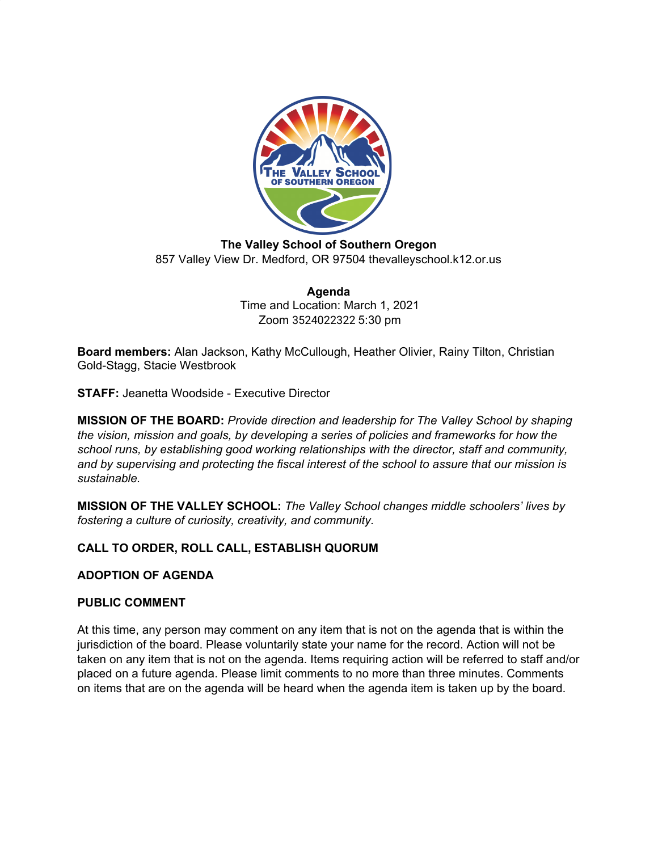

**The Valley School of Southern Oregon** 857 Valley View Dr. Medford, OR 97504 thevalleyschool.k12.or.us

> **Agenda** Time and Location: March 1, 2021 Zoom 3524022322 5:30 pm

**Board members:** Alan Jackson, Kathy McCullough, Heather Olivier, Rainy Tilton, Christian Gold-Stagg, Stacie Westbrook

**STAFF:** Jeanetta Woodside - Executive Director

**MISSION OF THE BOARD:** *Provide direction and leadership for The Valley School by shaping the vision, mission and goals, by developing a series of policies and frameworks for how the school runs, by establishing good working relationships with the director, staff and community, and by supervising and protecting the fiscal interest of the school to assure that our mission is sustainable.*

**MISSION OF THE VALLEY SCHOOL:** *The Valley School changes middle schoolers' lives by fostering a culture of curiosity, creativity, and community.*

# **CALL TO ORDER, ROLL CALL, ESTABLISH QUORUM**

## **ADOPTION OF AGENDA**

## **PUBLIC COMMENT**

At this time, any person may comment on any item that is not on the agenda that is within the jurisdiction of the board. Please voluntarily state your name for the record. Action will not be taken on any item that is not on the agenda. Items requiring action will be referred to staff and/or placed on a future agenda. Please limit comments to no more than three minutes. Comments on items that are on the agenda will be heard when the agenda item is taken up by the board.